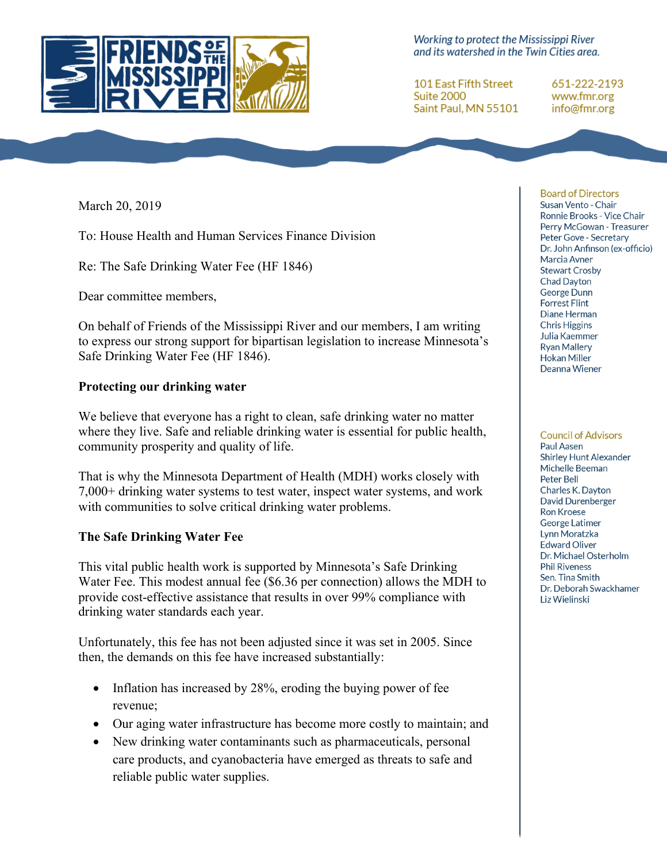

Working to protect the Mississippi River and its watershed in the Twin Cities area.

**101 East Fifth Street** Suite 2000 Saint Paul, MN 55101

651-222-2193 www.fmr.org info@fmr.org

March 20, 2019

To: House Health and Human Services Finance Division

Re: The Safe Drinking Water Fee (HF 1846)

Dear committee members,

On behalf of Friends of the Mississippi River and our members, I am writing to express our strong support for bipartisan legislation to increase Minnesota's Safe Drinking Water Fee (HF 1846).

## **Protecting our drinking water**

We believe that everyone has a right to clean, safe drinking water no matter where they live. Safe and reliable drinking water is essential for public health, community prosperity and quality of life.

That is why the Minnesota Department of Health (MDH) works closely with 7,000+ drinking water systems to test water, inspect water systems, and work with communities to solve critical drinking water problems.

## **The Safe Drinking Water Fee**

This vital public health work is supported by Minnesota's Safe Drinking Water Fee. This modest annual fee (\$6.36 per connection) allows the MDH to provide cost-effective assistance that results in over 99% compliance with drinking water standards each year.

Unfortunately, this fee has not been adjusted since it was set in 2005. Since then, the demands on this fee have increased substantially:

- Inflation has increased by 28%, eroding the buying power of fee revenue;
- Our aging water infrastructure has become more costly to maintain; and
- New drinking water contaminants such as pharmaceuticals, personal care products, and cyanobacteria have emerged as threats to safe and reliable public water supplies.

**Board of Directors** Susan Vento - Chair Ronnie Brooks - Vice Chair Perry McGowan - Treasurer Peter Gove - Secretary Dr. John Anfinson (ex-officio) Marcia Avner **Stewart Crosby Chad Dayton** George Dunn **Forrest Flint** Diane Herman **Chris Higgins** Julia Kaemmer **Ryan Mallery Hokan Miller** Deanna Wiener

**Council of Advisors** 

Paul Aasen **Shirley Hunt Alexander** Michelle Beeman Peter Bell Charles K. Dayton David Durenberger **Ron Kroese** George Latimer Lynn Moratzka **Edward Oliver** Dr. Michael Osterholm **Phil Riveness** Sen. Tina Smith Dr. Deborah Swackhamer Liz Wielinski